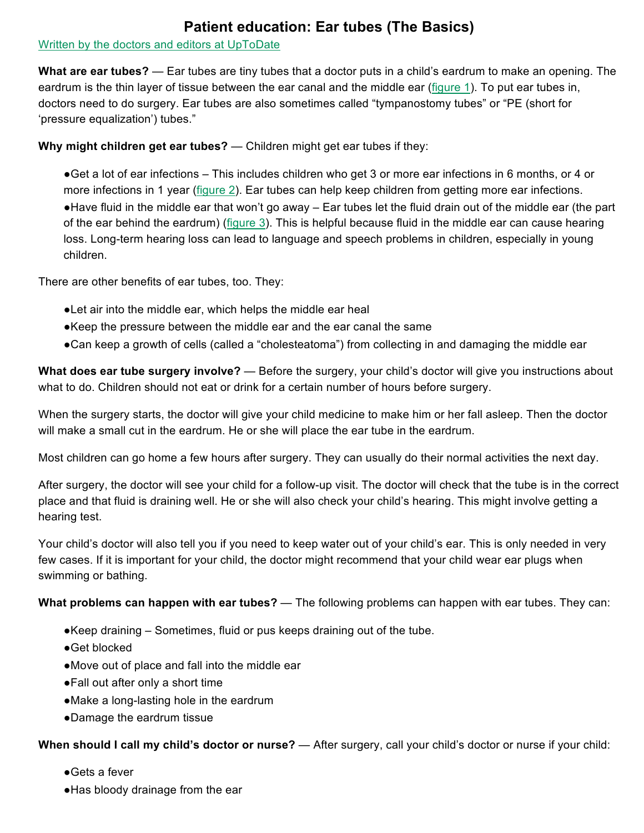## **Patient education: Ear tubes (The Basics)**

## Written by the doctors and editors at UpToDate

**What are ear tubes?** — Ear tubes are tiny tubes that a doctor puts in a child's eardrum to make an opening. The eardrum is the thin layer of tissue between the ear canal and the middle ear (figure 1). To put ear tubes in, doctors need to do surgery. Ear tubes are also sometimes called "tympanostomy tubes" or "PE (short for 'pressure equalization') tubes."

## **Why might children get ear tubes?** — Children might get ear tubes if they:

●Get a lot of ear infections – This includes children who get 3 or more ear infections in 6 months, or 4 or more infections in 1 year (figure 2). Ear tubes can help keep children from getting more ear infections. ●Have fluid in the middle ear that won't go away – Ear tubes let the fluid drain out of the middle ear (the part of the ear behind the eardrum) (figure 3). This is helpful because fluid in the middle ear can cause hearing loss. Long-term hearing loss can lead to language and speech problems in children, especially in young children.

There are other benefits of ear tubes, too. They:

- ●Let air into the middle ear, which helps the middle ear heal
- ●Keep the pressure between the middle ear and the ear canal the same
- ●Can keep a growth of cells (called a "cholesteatoma") from collecting in and damaging the middle ear

**What does ear tube surgery involve?** — Before the surgery, your child's doctor will give you instructions about what to do. Children should not eat or drink for a certain number of hours before surgery.

When the surgery starts, the doctor will give your child medicine to make him or her fall asleep. Then the doctor will make a small cut in the eardrum. He or she will place the ear tube in the eardrum.

Most children can go home a few hours after surgery. They can usually do their normal activities the next day.

After surgery, the doctor will see your child for a follow-up visit. The doctor will check that the tube is in the correct place and that fluid is draining well. He or she will also check your child's hearing. This might involve getting a hearing test.

Your child's doctor will also tell you if you need to keep water out of your child's ear. This is only needed in very few cases. If it is important for your child, the doctor might recommend that your child wear ear plugs when swimming or bathing.

**What problems can happen with ear tubes?** — The following problems can happen with ear tubes. They can:

- ●Keep draining Sometimes, fluid or pus keeps draining out of the tube.
- ●Get blocked
- ●Move out of place and fall into the middle ear
- ●Fall out after only a short time
- ●Make a long-lasting hole in the eardrum
- ●Damage the eardrum tissue

**When should I call my child's doctor or nurse?** — After surgery, call your child's doctor or nurse if your child:

- ●Gets a fever
- ●Has bloody drainage from the ear